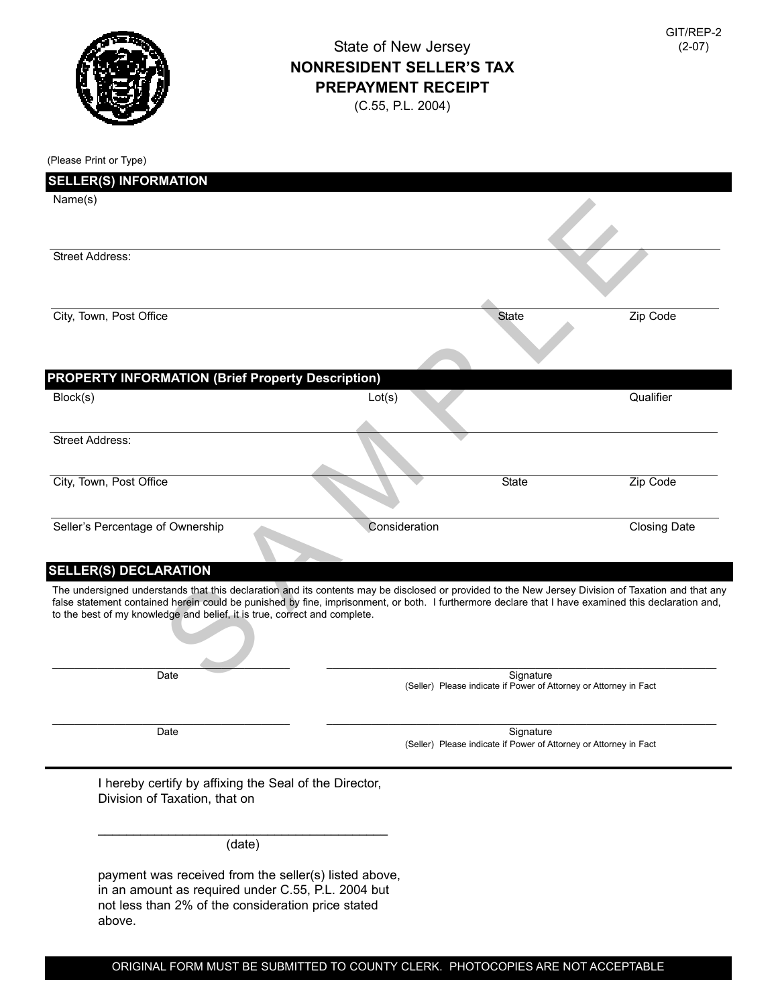

## State of New Jersey **NONRESIDENT SELLER'S TAX PREPAYMENT RECEIPT**

(C.55, P.L. 2004)

| (Please Print or Type)                                                                                                                                                                                                                                                                                                                                                                  |               |                                                                                |                     |
|-----------------------------------------------------------------------------------------------------------------------------------------------------------------------------------------------------------------------------------------------------------------------------------------------------------------------------------------------------------------------------------------|---------------|--------------------------------------------------------------------------------|---------------------|
| <b>SELLER(S) INFORMATION</b>                                                                                                                                                                                                                                                                                                                                                            |               |                                                                                |                     |
| Name(s)                                                                                                                                                                                                                                                                                                                                                                                 |               |                                                                                |                     |
| <b>Street Address:</b>                                                                                                                                                                                                                                                                                                                                                                  |               |                                                                                |                     |
| City, Town, Post Office                                                                                                                                                                                                                                                                                                                                                                 |               | <b>State</b>                                                                   | Zip Code            |
| <b>PROPERTY INFORMATION (Brief Property Description)</b>                                                                                                                                                                                                                                                                                                                                |               |                                                                                |                     |
| Block(s)                                                                                                                                                                                                                                                                                                                                                                                | Lot(s)        |                                                                                | Qualifier           |
| <b>Street Address:</b>                                                                                                                                                                                                                                                                                                                                                                  |               |                                                                                |                     |
| City, Town, Post Office                                                                                                                                                                                                                                                                                                                                                                 |               | <b>State</b>                                                                   | Zip Code            |
| Seller's Percentage of Ownership<br><b>SELLER(S) DECLARATION</b>                                                                                                                                                                                                                                                                                                                        | Consideration |                                                                                | <b>Closing Date</b> |
| The undersigned understands that this declaration and its contents may be disclosed or provided to the New Jersey Division of Taxation and that any<br>false statement contained herein could be punished by fine, imprisonment, or both. I furthermore declare that I have examined this declaration and,<br>to the best of my knowledge and belief, it is true, correct and complete. |               |                                                                                |                     |
| Date                                                                                                                                                                                                                                                                                                                                                                                    |               | Signature<br>(Seller) Please indicate if Power of Attorney or Attorney in Fact |                     |
| Date                                                                                                                                                                                                                                                                                                                                                                                    |               | Signature<br>(Seller) Please indicate if Power of Attorney or Attorney in Fact |                     |
| I hereby certify by affixing the Seal of the Director,<br>Division of Taxation, that on                                                                                                                                                                                                                                                                                                 |               |                                                                                |                     |
| (date)                                                                                                                                                                                                                                                                                                                                                                                  |               |                                                                                |                     |
| payment was received from the seller(s) listed above,<br>in an amount as required under C.55, P.L. 2004 but<br>not less than 2% of the consideration price stated                                                                                                                                                                                                                       |               |                                                                                |                     |